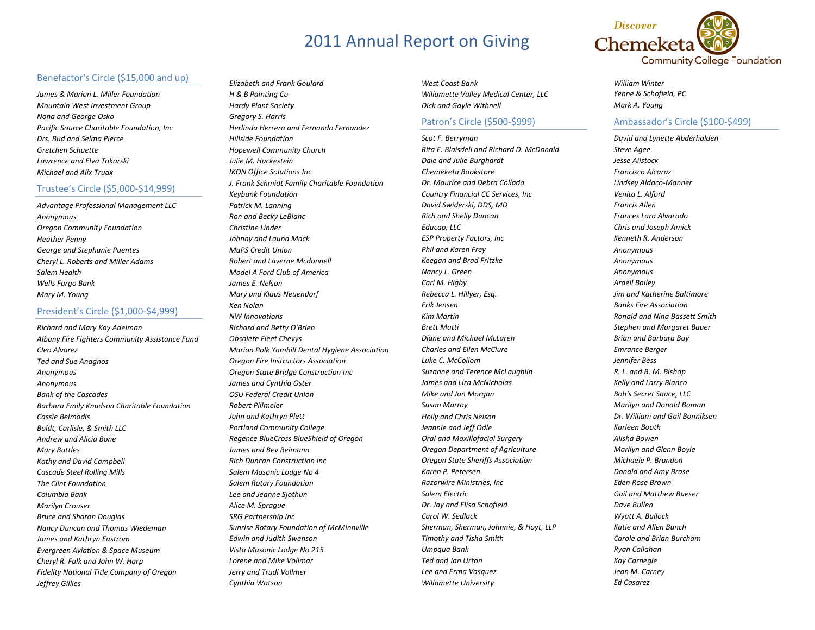### Benefactor's Circle (\$15,000 and up)

*James & Marion L. Miller Foundation Mountain West Investment Group Nona and George Osko Pacific Source Charitable Foundation, Inc Drs. Bud and Selma Pierce Gretchen Schuette Lawrence and Elva Tokarski Michael and Alix Truax*

### Trustee's Circle (\$5,000‐\$14,999)

*Advantage Professional Management LLC Anonymous Oregon Community Foundation Heather Penny George and Stephanie Puentes Cheryl L. Roberts and Miller Adams Salem Health Wells Fargo Bank Mary M. Young*

## President's Circle (\$1,000‐\$4,999)

*Richard and Mary Kay Adelman Albany Fire Fighters Community Assistance Fund Cleo Alvarez Ted and Sue Anagnos Anonymous Anonymous Bank of the Cascades Barbara Emily Knudson Charitable Foundation Cassie Belmodis Boldt, Carlisle, & Smith LLC Andrew and Alicia Bone Mary Buttles Kathy and David Campbell Cascade Steel Rolling Mills The Clint FoundationColumbia Bank Marilyn Crouser Bruce and Sharon Douglas Nancy Duncan and Thomas Wiedeman James and Kathryn Eustrom Evergreen Aviation & Space Museum Cheryl R. Falk and John W. Harp Fidelity National Title Company of Oregon Jeffrey Gillies*

*Elizabeth and Frank Goulard H & B Painting Co Hardy Plant Society Gregory S. Harris Herlinda Herrera and Fernando Fernandez Hillside FoundationHopewell Community Church Julie M. HuckesteinIKON Office Solutions Inc J. Frank Schmidt Family Charitable Foundation Keybank Foundation Patrick M. Lanning Ron and Becky LeBlanc Christine Linder Johnny and Launa Mack MaPS Credit UnionRobert and Laverne Mcdonnell Model A Ford Club of America James E. NelsonMary and Klaus Neuendorf Ken Nolan NW Innovations Richard and Betty O'Brien Obsolete Fleet Chevys Marion Polk Yamhill Dental Hygiene Association Oregon Fire Instructors Association Oregon State Bridge Construction Inc James and Cynthia Oster OSU Federal Credit Union Robert PillmeierJohn and Kathryn Plett Portland Community College Regence BlueCross BlueShield of Oregon James and Bev Reimann Rich Duncan Construction Inc Salem Masonic Lodge No 4 Salem Rotary Foundation Lee and Jeanne Sjothun Alice M. Sprague SRG Partnership Inc Sunrise Rotary Foundation of McMinnville Edwin and Judith Swenson Vista Masonic Lodge No 215 Lorene and Mike Vollmar Jerry and Trudi Vollmer Cynthia Watson*

*West Coast BankWillamette Valley Medical Center, LLC Dick and Gayle Withnell*

### Patron's Circle (\$500‐\$999)

*Scot F. Berryman Rita E. Blaisdell and Richard D. McDonald Dale and Julie Burghardt Chemeketa Bookstore Dr. Maurice and Debra Collada Country Financial CC Services, Inc David Swiderski, DDS, MD Rich and Shelly Duncan Educap, LLC ESP Property Factors, Inc Phil and Karen Frey Keegan and Brad Fritzke Nancy L. Green Carl M. Higby Rebecca L. Hillyer, Esq. Erik JensenKim Martin Brett Matti Diane and Michael McLaren Charles and Ellen McClure Luke C. McCollomSuzanne and Terence McLaughlin James and Liza McNicholas Mike and Jan Morgan Susan Murray Holly and Chris Nelson Jeannie and Jeff Odle Oral and Maxillofacial Surgery Oregon Department of Agriculture Oregon State Sheriffs Association Karen P. Petersen Razorwire Ministries, Inc Salem Electric Dr. Jay and Elisa Schofield Carol W. SedlackSherman, Sherman, Johnnie, & Hoyt, LLP Timothy and Tisha Smith Umpqua Bank Ted and Jan Urton Lee and Erma Vasquez Willamette University*



*William Winter Yenne & Schofield, PC Mark A. Young*

## Ambassador's Circle (\$100‐\$499)

*David and Lynette Abderhalden Steve Agee Jesse Ailstock Francisco Alcaraz Lindsey Aldaco‐Manner Venita L. Alford Francis AllenFrances Lara Alvarado Chris and Joseph Amick Kenneth R. Anderson Anonymous Anonymous Anonymous Ardell Bailey Jim and Katherine Baltimore Banks Fire AssociationRonald and Nina Bassett Smith Stephen and Margaret Bauer Brian and Barbara Bay Emrance Berger Jennifer Bess R. L. and B. M. Bishop Kelly and Larry Blanco Bob's Secret Sauce, LLC Marilyn and Donald Boman Dr. William and Gail Bonniksen Karleen Booth Alisha Bowen Marilyn and Glenn Boyle Michaele P. BrandonDonald and Amy Brase Eden Rose Brown Gail and Matthew Bueser Dave BullenWyatt A. Bullock Katie and Allen Bunch Carole and Brian BurchamRyan Callahan Kay Carnegie Jean M. Carney Ed Casarez*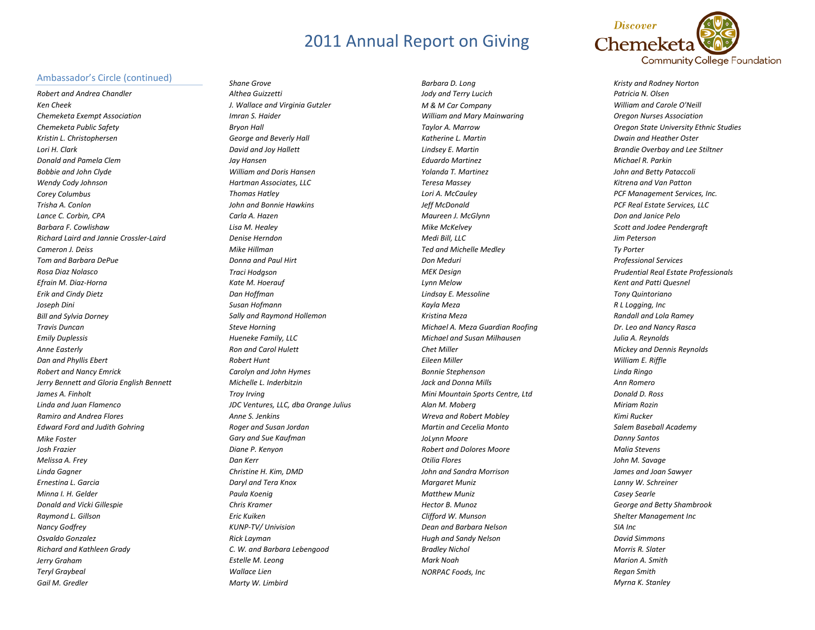#### Ambassador's Circle (continued)

*Robert and Andrea Chandler Ken Cheek Chemeketa Exempt Association Chemeketa Public Safety Kristin L. Christophersen Lori H. ClarkDonald and Pamela ClemBobbie and John Clyde Wendy Cody Johnson Corey Columbus Trisha A. Conlon Lance C. Corbin, CPA Barbara F. CowlishawRichard Laird and Jannie Crossler‐Laird Cameron J. Deiss Tom and Barbara DePue Rosa Diaz Nolasco Efrain M. Diaz‐Horna Erik and Cindy Dietz Joseph Dini Bill and Sylvia Dorney Travis DuncanEmily Duplessis Anne Easterly Dan and Phyllis Ebert Robert and Nancy Emrick Jerry Bennett and Gloria English Bennett James A. Finholt Linda and Juan Flamenco Ramiro and Andrea Flores Edward Ford and Judith Gohring Mike Foster Josh Frazier Melissa A. Frey Linda Gagner Ernestina L. Garcia Minna I. H. Gelder Donald and Vicki Gillespie Raymond L. Gillson Nancy Godfrey Osvaldo Gonzalez Richard and Kathleen Grady Jerry Graham Teryl Graybeal Gail M. Gredler*

*Shane Grove Althea Guizzetti J. Wallace and Virginia Gutzler Imran S. Haider Bryon Hall George and Beverly Hall David and Joy Hallett Jay Hansen William and Doris Hansen Hartman Associates, LLC Thomas Hatley John and Bonnie Hawkins Carla A. Hazen Lisa M. Healey Denise HerndonMike HillmanDonna and Paul Hirt Traci Hodgson Kate M. Hoerauf Dan Hoffman Susan Hofmann Sally and Raymond Hollemon Steve Horning Hueneke Family, LLC Ron and Carol Hulett Robert Hunt Carolyn and John Hymes Michelle L. InderbitzinTroy Irving JDC Ventures, LLC, dba Orange Julius Anne S. Jenkins Roger and Susan Jordan Gary and Sue Kaufman Diane P. Kenyon Dan Kerr Christine H. Kim, DMD Daryl and Tera Knox Paula Koenig Chris Kramer Eric KuikenKUNP‐TV/ Univision Rick Layman C. W. and Barbara Lebengood Estelle M. Leong Wallace LienMarty W. Limbird*

*Barbara D. Long Jody and Terry Lucich M & M Car Company William and Mary Mainwaring Taylor A. Marrow Katherine L. MartinLindsey E. Martin Eduardo Martinez Yolanda T. Martinez Teresa Massey Lori A. McCauley Jeff McDonald Maureen J. McGlynn Mike McKelvey Medi Bill, LLC Ted and Michelle Medley Don Meduri MEK Design Lynn Melow Lindsay E. Messoline Kayla Meza Kristina Meza Michael A. Meza Guardian Roofing Michael and Susan Milhausen Chet MillerEileen Miller Bonnie Stephenson Jack and Donna Mills Mini Mountain Sports Centre, Ltd Alan M. Moberg Wreva and Robert Mobley Martin and Cecelia Monto JoLynn Moore Robert and Dolores Moore Otilia Flores John and Sandra Morrison Margaret Muniz Matthew Muniz Hector B. MunozClifford W. Munson Dean and Barbara Nelson Hugh and Sandy Nelson Bradley Nichol Mark NoahNORPAC Foods, Inc*



*Kristy and Rodney Norton Patricia N. Olsen William and Carole O'Neill Oregon Nurses Association Oregon State University Ethnic Studies Dwain and Heather Oster Brandie Overbay and Lee Stiltner Michael R. ParkinJohn and Betty Pataccoli Kitrena and Van Patton PCF Management Services, Inc. PCF Real Estate Services, LLC Don and Janice Pelo Scott and Jodee Pendergraft Jim Peterson Ty Porter Professional Services Prudential Real Estate Professionals Kent and Patti Quesnel Tony Quintoriano R L Logging, Inc Randall and Lola Ramey Dr. Leo and Nancy Rasca Julia A. Reynolds Mickey and Dennis Reynolds William E. Riffle Linda Ringo Ann Romero Donald D. Ross Miriam Rozin Kimi RuckerSalem Baseball Academy Danny Santos Malia Stevens John M. Savage James and Joan Sawyer Lanny W. Schreiner Casey Searle George and Betty Shambrook Shelter Management Inc SIA Inc David Simmons Morris R. Slater Marion A. Smith Regan Smith Myrna K. Stanley*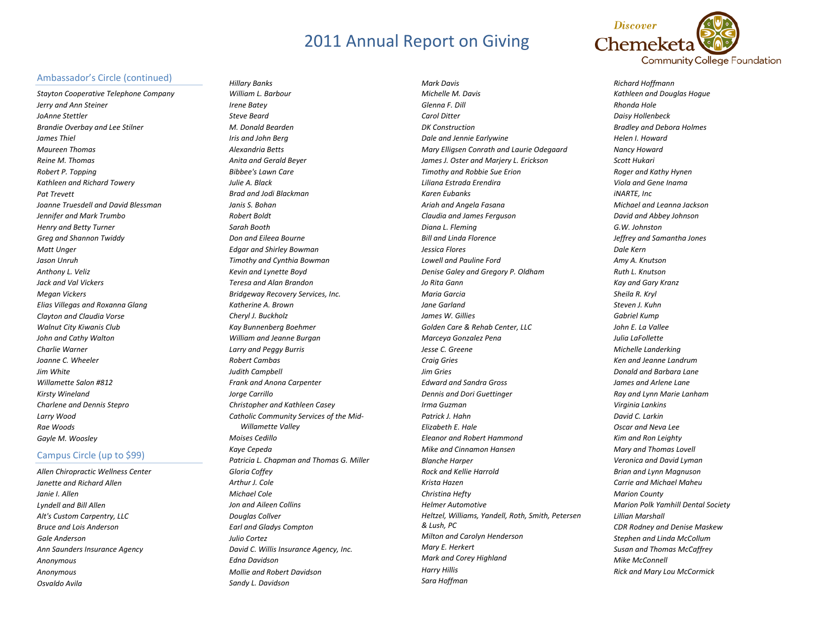

#### Ambassador's Circle (continued)

*Stayton Cooperative Telephone Company Jerry and Ann Steiner JoAnne Stettler Brandie Overbay and Lee Stilner James Thiel Maureen Thomas Reine M. Thomas Robert P. Topping Kathleen and Richard Towery Pat Trevett Joanne Truesdell and David Blessman Jennifer and Mark Trumbo Henry and Betty Turner Greg and Shannon Twiddy Matt Unger Jason Unruh Anthony L. Veliz Jack and Val Vickers Megan Vickers Elias Villegas and Roxanna Glang Clayton and Claudia Vorse Walnut City Kiwanis Club John and Cathy Walton Charlie Warner Joanne C. Wheeler Jim White Willamette Salon #812 Kirsty Wineland Charlene and Dennis Stepro Larry Wood Rae Woods Gayle M. Woosley*

### Campus Circle (up to \$99)

*Allen Chiropractic Wellness Center Janette and Richard Allen Janie I. AllenLyndell and Bill Allen Alt's Custom Carpentry, LLC Bruce and Lois Anderson Gale AndersonAnn Saunders Insurance Agency Anonymous Anonymous Osvaldo Avila*

*Hillary Banks William L. Barbour Irene Batey Steve BeardM. Donald Bearden Iris and John Berg Alexandria Betts Anita and Gerald Beyer Bibbee's Lawn Care Julie A. Black Brad and Jodi Blackman Janis S. BohanRobert Boldt Sarah Booth Don and Eileea Bourne Edgar and Shirley Bowman Timothy and Cynthia Bowman Kevin and Lynette Boyd Teresa and Alan Brandon Bridgeway Recovery Services, Inc. Katherine A. BrownCheryl J. Buckholz Kay Bunnenberg Boehmer William and Jeanne Burgan Larry and Peggy Burris Robert CambasJudith Campbell Frank and Anona Carpenter Jorge Carrillo Christopher and Kathleen Casey Catholic Community Services of the Mid‐ Willamette Valley Moises CedilloKaye Cepeda Patricia L. Chapman and Thomas G. Miller Gloria Coffey Arthur J. ColeMichael ColeJon and Aileen Collins Douglas Collver Earl and Gladys Compton Julio Cortez David C. Willis Insurance Agency, Inc. Edna Davidson Mollie and Robert Davidson Sandy L. Davidson*

*Mark Davis Michelle M. Davis Glenna F. Dill Carol DitterDK Construction Dale and Jennie Earlywine Mary Elligsen Conrath and Laurie Odegaard James J. Oster and Marjery L. Erickson Timothy and Robbie Sue Erion Liliana Estrada Erendira Karen Eubanks Ariah and Angela Fasana Claudia and James Ferguson Diana L. Fleming Bill and Linda Florence Jessica Flores Lowell and Pauline Ford Denise Galey and Gregory P. Oldham Jo Rita Gann Maria Garcia Jane GarlandJames W. Gillies Golden Care & Rehab Center, LLC Marceya Gonzalez Pena Jesse C. Greene Craig Gries Jim Gries Edward and Sandra Gross Dennis and Dori Guettinger Irma Guzman Patrick J. HahnElizabeth E. Hale Eleanor and Robert Hammond Mike and Cinnamon Hansen Blanche Harper Rock and Kellie Harrold Krista Hazen Christina Hefty Helmer AutomotiveHeltzel, Williams, Yandell, Roth, Smith, Petersen & Lush, PC Milton and Carolyn Henderson Mary E. Herkert Mark and Corey Highland Harry Hillis Sara Hoffman*

*Richard Hoffmann Kathleen and Douglas Hogue Rhonda Hole Daisy Hollenbeck Bradley and Debora Holmes Helen I. Howard Nancy Howard Scott Hukari Roger and Kathy Hynen Viola and Gene Inama iNARTE, Inc Michael and Leanna Jackson David and Abbey Johnson G.W. JohnstonJeffrey and Samantha Jones Dale Kern Amy A. Knutson Ruth L. Knutson Kay and Gary Kranz Sheila R. Kryl Steven J. Kuhn Gabriel Kump John E. La Vallee Julia LaFollette Michelle Landerking Ken and Jeanne LandrumDonald and Barbara Lane James and Arlene Lane Ray and Lynn Marie Lanham Virginia Lankins David C. Larkin Oscar and Neva Lee Kim and Ron Leighty Mary and Thomas Lovell Veronica and David Lyman Brian and Lynn Magnuson Carrie and Michael Maheu Marion County Marion Polk Yamhill Dental Society Lillian Marshall CDR Rodney and Denise Maskew Stephen and Linda McCollum Susan and Thomas McCaffrey Mike McConnell Rick and Mary Lou McCormick*